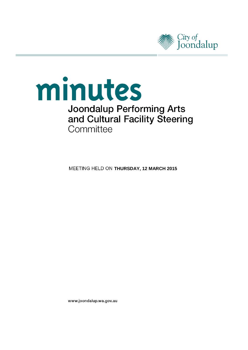

# minutes **Joondalup Performing Arts** and Cultural Facility Steering Committee

**MEETING HELD ON THURSDAY, 12 MARCH 2015** 

www.joondalup.wa.gov.au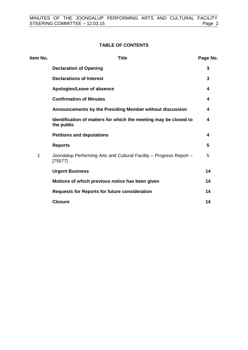#### **TABLE OF CONTENTS**

| Item No. | <b>Title</b>                                                                   | Page No. |
|----------|--------------------------------------------------------------------------------|----------|
|          | <b>Declaration of Opening</b>                                                  | 3        |
|          | <b>Declarations of Interest</b>                                                | 3        |
|          | Apologies/Leave of absence                                                     | 4        |
|          | <b>Confirmation of Minutes</b>                                                 | 4        |
|          | Announcements by the Presiding Member without discussion                       | 4        |
|          | Identification of matters for which the meeting may be closed to<br>the public | 4        |
|          | <b>Petitions and deputations</b>                                               | 4        |
|          | <b>Reports</b>                                                                 | 5        |
| 1        | Joondalup Performing Arts and Cultural Facility - Progress Report -<br>[75577] | 5        |
|          | <b>Urgent Business</b>                                                         | 14       |
|          | Motions of which previous notice has been given                                | 14       |
|          | <b>Requests for Reports for future consideration</b>                           | 14       |
|          | <b>Closure</b>                                                                 | 14       |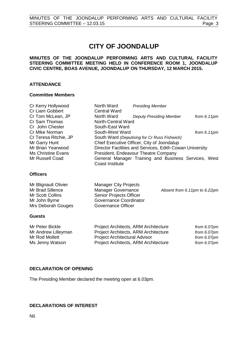## **CITY OF JOONDALUP**

#### **MINUTES OF THE JOONDALUP PERFORMING ARTS AND CULTURAL FACILITY STEERING COMMITTEE MEETING HELD IN CONFERENCE ROOM 1, JOONDALUP CIVIC CENTRE, BOAS AVENUE, JOONDALUP ON THURSDAY, 12 MARCH 2015.**

#### **ATTENDANCE**

#### **Committee Members**

| Cr Kerry Hollywood        | North Ward                     | <b>Presiding Member</b>                                  |                              |
|---------------------------|--------------------------------|----------------------------------------------------------|------------------------------|
| Cr Liam Gobbert           | <b>Central Ward</b>            |                                                          |                              |
| Cr Tom McLean, JP         | North Ward                     | <b>Deputy Presiding Member</b>                           | from $6.11pm$                |
| Cr Sam Thomas             | <b>North-Central Ward</b>      |                                                          |                              |
| Cr John Chester           | South-East Ward                |                                                          |                              |
| Cr Mike Norman            | South-West Ward                |                                                          | from $6.11$ pm               |
| Cr Teresa Ritchie, JP     |                                | South Ward (Deputising for Cr Russ Fishwick)             |                              |
| Mr Garry Hunt             |                                | Chief Executive Officer, City of Joondalup               |                              |
| Mr Brian Yearwood         |                                | Director Facilities and Services, Edith Cowan University |                              |
| <b>Ms Christine Evans</b> |                                | President, Endeavour Theatre Company                     |                              |
| Mr Russell Coad           |                                | General Manager Training and Business Services, West     |                              |
|                           | <b>Coast Institute</b>         |                                                          |                              |
| <b>Officers</b>           |                                |                                                          |                              |
|                           |                                |                                                          |                              |
| Mr Blignault Olivier      | <b>Manager City Projects</b>   |                                                          |                              |
| Mr Brad Sillence          | Manager Governance             |                                                          | Absent from 6.11pm to 6.22pm |
| Mr Scott Collins          | <b>Senior Projects Officer</b> |                                                          |                              |
| Mr John Byrne             | Governance Coordinator         |                                                          |                              |
| Mrs Deborah Gouges        | Governance Officer             |                                                          |                              |

#### **Guests**

| Mr Peter Bickle     | Project Architects, ARM Architecture | from 6.07pm |
|---------------------|--------------------------------------|-------------|
| Mr Andrew Lilleyman | Project Architects, ARM Architecture | from 6.07pm |
| Mr Rod Mollett      | <b>Project Architectural Advisor</b> | from 6.07pm |
| Ms Jenny Watson     | Project Architects, ARM Architecture | from 6.07pm |

#### <span id="page-2-0"></span>**DECLARATION OF OPENING**

The Presiding Member declared the meeting open at 6.03pm.

#### <span id="page-2-1"></span>**DECLARATIONS OF INTEREST**

Nil.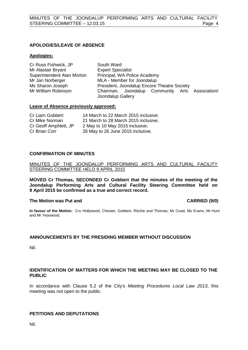#### <span id="page-3-0"></span>**APOLOGIES/LEAVE OF ABSENCE**

#### **Apologies:**

| Cr Russ Fishwick, JP       | South Ward                                                           |  |
|----------------------------|----------------------------------------------------------------------|--|
| Mr Alastair Bryant         | <b>Expert Specialist</b>                                             |  |
| Superintendent Alan Morton | Principal, WA Police Academy                                         |  |
| Mr Jan Norberger           | MLA - Member for Joondalup                                           |  |
| Ms Sharon Joseph           | President, Joondalup Encore Theatre Society                          |  |
| Mr William Robinson        | Chairman, Joondalup Community Arts Association/<br>Joondalup Gallery |  |

#### **Leave of Absence previously approved:**

| Cr Liam Gobbert       | 14 March to 22 March 2015 inclusive; |
|-----------------------|--------------------------------------|
| Cr Mike Norman        | 21 March to 28 March 2015 inclusive: |
| Cr Geoff Amphlett, JP | 2 May to 10 May 2015 inclusive;      |
| Cr Brian Corr         | 26 May to 26 June 2015 inclusive.    |

#### <span id="page-3-1"></span>**CONFIRMATION OF MINUTES**

MINUTES OF THE JOONDALUP PERFORMING ARTS AND CULTURAL FACILITY STEERING COMMITTEE HELD 9 APRIL 2015

**MOVED Cr Thomas, SECONDED Cr Gobbert that the minutes of the meeting of the Joondalup Performing Arts and Cultural Facility Steering Committee held on 9 April 2015 be confirmed as a true and correct record.**

#### **The Motion was Put and CARRIED (9/0)**

**In favour of the Motion:** Crs Hollywood, Chester, Gobbert, Ritchie and Thomas, Mr Coad, Ms Evans, Mr Hunt and Mr Yearwood.

#### <span id="page-3-2"></span>**ANNOUNCEMENTS BY THE PRESIDING MEMBER WITHOUT DISCUSSION**

Nil.

#### <span id="page-3-3"></span>**IDENTIFICATION OF MATTERS FOR WHICH THE MEETING MAY BE CLOSED TO THE PUBLIC**

In accordance with Clause 5.2 of the City's *Meeting Procedures Local Law 2013*, this meeting was not open to the public.

#### <span id="page-3-4"></span>**PETITIONS AND DEPUTATIONS**

Nil.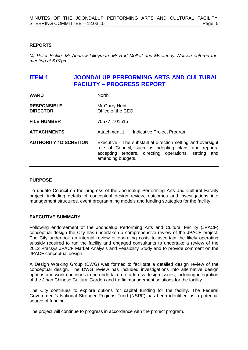#### <span id="page-4-0"></span>**REPORTS**

*Mr Peter Bickle, Mr Andrew Lilleyman, Mr Rod Mollett and Ms Jenny Watson entered the meeting at 6.07pm.*

### <span id="page-4-1"></span>**ITEM 1 JOONDALUP PERFORMING ARTS AND CULTURAL FACILITY – PROGRESS REPORT**

| <b>WARD</b>                           | <b>North</b>                                                                                                                                                                                     |
|---------------------------------------|--------------------------------------------------------------------------------------------------------------------------------------------------------------------------------------------------|
| <b>RESPONSIBLE</b><br><b>DIRECTOR</b> | Mr Garry Hunt<br>Office of the CEO                                                                                                                                                               |
| <b>FILE NUMBER</b>                    | 75577, 101515                                                                                                                                                                                    |
| <b>ATTACHMENTS</b>                    | Attachment 1<br>Indicative Project Program                                                                                                                                                       |
| <b>AUTHORITY / DISCRETION</b>         | Executive - The substantial direction setting and oversight<br>role of Council, such as adopting plans and reports,<br>accepting tenders, directing operations, setting and<br>amending budgets. |

#### **PURPOSE**

To update Council on the progress of the Joondalup Performing Arts and Cultural Facility project, including details of conceptual design review, outcomes and investigations into management structures, event programming models and funding strategies for the facility.

#### **EXECUTIVE SUMMARY**

Following endorsement of the Joondalup Performing Arts and Cultural Facility (JPACF) conceptual design the City has undertaken a comprehensive review of the JPACF project. The City undertook an internal review of operating costs to ascertain the likely operating subsidy required to run the facility and engaged consultants to undertake a review of the 2012 Pracsys JPACF Market Analysis and Feasibility Study and to provide comment on the JPACF conceptual design.

A Design Working Group (DWG) was formed to facilitate a detailed design review of the conceptual design. The DWG review has included investigations into alternative design options and work continues to be undertaken to address design issues, including integration of the Jinan Chinese Cultural Garden and traffic management solutions for the facility.

The City continues to explore options for capital funding for the facility. The Federal Government's National Stronger Regions Fund (NSRF) has been identified as a potential source of funding.

The project will continue to progress in accordance with the project program.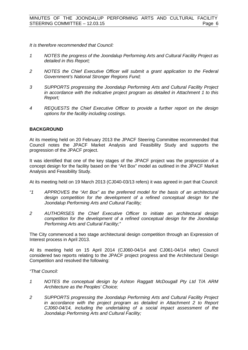*It is therefore recommended that Council:*

- *1 NOTES the progress of the Joondalup Performing Arts and Cultural Facility Project as detailed in this Report;*
- *2 NOTES the Chief Executive Officer will submit a grant application to the Federal Government's National Stronger Regions Fund;*
- *3 SUPPORTS progressing the Joondalup Performing Arts and Cultural Facility Project in accordance with the indicative project program as detailed in Attachment 1 to this Report;*
- *4 REQUESTS the Chief Executive Officer to provide a further report on the design options for the facility including costings.*

#### **BACKGROUND**

At its meeting held on 20 February 2013 the JPACF Steering Committee recommended that Council notes the JPACF Market Analysis and Feasibility Study and supports the progression of the JPACF project.

It was identified that one of the key stages of the JPACF project was the progression of a concept design for the facility based on the "Art Box" model as outlined in the JPACF Market Analysis and Feasibility Study.

At its meeting held on 19 March 2013 (CJ040-03/13 refers) it was agreed in part that Council:

- *"1 APPROVES the "Art Box" as the preferred model for the basis of an architectural design competition for the development of a refined conceptual design for the Joondalup Performing Arts and Cultural Facility;*
- *2 AUTHORISES the Chief Executive Officer to initiate an architectural design competition for the development of a refined conceptual design for the Joondalup Performing Arts and Cultural Facility;"*

The City commenced a two stage architectural design competition through an Expression of Interest process in April 2013.

At its meeting held on 15 April 2014 (CJ060-04/14 and CJ061-04/14 refer) Council considered two reports relating to the JPACF project progress and the Architectural Design Competition and resolved the following:

*"That Council:*

- *1 NOTES the conceptual design by Ashton Raggatt McDougall Pty Ltd T/A ARM Architecture as the Peoples' Choice;*
- *2 SUPPORTS progressing the Joondalup Performing Arts and Cultural Facility Project in accordance with the project program as detailed in Attachment 2 to Report CJ060-04/14, including the undertaking of a social impact assessment of the Joondalup Performing Arts and Cultural Facility;*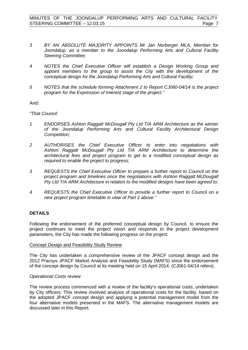- *3 BY AN ABSOLUTE MAJORITY APPOINTS Mr Jan Norberger MLA, Member for Joondalup, as a member to the Joondalup Performing Arts and Cultural Facility Steering Committee;*
- *4 NOTES the Chief Executive Officer will establish a Design Working Group and*  appoint members to the group to assist the City with the development of the *conceptual design for the Joondalup Performing Arts and Cultural Facility;*
- *5 NOTES that the schedule forming Attachment 2 to Report CJ060-04/14 is the project program for the Expression of Interest stage of the project."*

And:

*"That Council:*

- *1 ENDORSES Ashton Raggatt McDougall Pty Ltd T/A ARM Architecture as the winner of the Joondalup Performing Arts and Cultural Facility Architectural Design Competition;*
- *2 AUTHORISES the Chief Executive Officer to enter into negotiations with Ashton Raggatt McDougall Pty Ltd T/A ARM Architecture to determine the architectural fees and project program to get to a modified conceptual design as required to enable the project to progress;*
- *3 REQUESTS the Chief Executive Officer to prepare a further report to Council on the project program and timelines once the negotiations with Ashton Raggatt McDougall Pty Ltd T/A ARM Architecture in relation to the modified designs have been agreed to;*
- *4 REQUESTS the Chief Executive Officer to provide a further report to Council on a new project program timetable in view of Part 2 above."*

#### **DETAILS**

Following the endorsement of the preferred conceptual design by Council, to ensure the project continues to meet the project vision and responds to the project development parameters, the City has made the following progress on the project:

#### Concept Design and Feasibility Study Review

The City has undertaken a comprehensive review of the JPACF concept design and the 2012 Pracsys JPACF Market Analysis and Feasibility Study (MAFS) since the endorsement of the concept design by Council at its meeting held on 15 April 2014 (CJ061-04/14 refers).

#### *Operational Costs review*

The review process commenced with a review of the facility's operational costs, undertaken by City officers. This review involved analysis of operational costs for the facility, based on the adopted JPACF concept design and applying a potential management model from the four alternative models presented in the MAFS. The alternative management models are discussed later in this Report.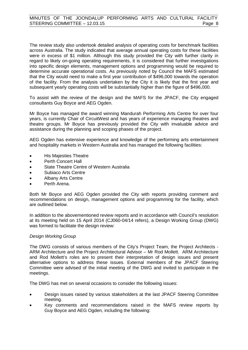The review study also undertook detailed analysis of operating costs for benchmark facilities across Australia. The study indicated that average annual operating costs for these facilities were in excess of \$1 million. Although this study provided the City with further clarity in regard to likely on-going operating requirements, it is considered that further investigations into specific design elements, management options and programming would be required to determine accurate operational costs. As previously noted by Council the MAFS estimated that the City would need to make a first year contribution of \$496,000 towards the operation of the facility. From the analysis undertaken by the City it is likely that the first year and subsequent yearly operating costs will be substantially higher than the figure of \$496,000.

To assist with the review of the design and the MAFS for the JPACF, the City engaged consultants Guy Boyce and AEG Ogden.

Mr Boyce has managed the award winning Mandurah Performing Arts Centre for over four years, is currently Chair of CircuitWest and has years of experience managing theatres and theatre groups. Mr Boyce has previously provided the City with invaluable advice and assistance during the planning and scoping phases of the project.

AEG Ogden has extensive experience and knowledge of the performing arts entertainment and hospitality markets in Western Australia and has managed the following facilities:

- His Majesties Theatre
- Perth Concert Hall
- State Theatre Centre of Western Australia
- Subiaco Arts Centre
- Albany Arts Centre
- Perth Arena.

Both Mr Boyce and AEG Ogden provided the City with reports providing comment and recommendations on design, management options and programming for the facility, which are outlined below.

In addition to the abovementioned review reports and in accordance with Council's resolution at its meeting held on 15 April 2014 (CJ060-04/14 refers), a Design Working Group (DWG) was formed to facilitate the design review:

#### *Design Working Group*

The DWG consists of various members of the City's Project Team, the Project Architects - ARM Architecture and the Project Architectural Advisor – Mr Rod Mollett. ARM Architecture and Rod Mollett's roles are to present their interpretation of design issues and present alternative options to address these issues. External members of the JPACF Steering Committee were advised of the initial meeting of the DWG and invited to participate in the meetings.

The DWG has met on several occasions to consider the following issues:

- Design issues raised by various stakeholders at the last JPACF Steering Committee meeting.
- Key comments and recommendations raised in the MAFS review reports by Guy Boyce and AEG Ogden, including the following: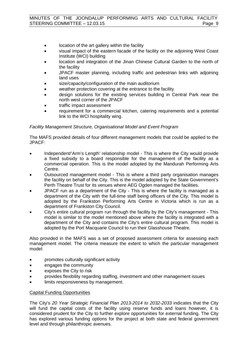- location of the art gallery within the facility
- visual impact of the eastern facade of the facility on the adjoining West Coast Institute (WCI) building
- location and integration of the Jinan Chinese Cultural Garden to the north of the facility
- JPACF master planning, including traffic and pedestrian links with adjoining land uses
- size/capacity/configuration of the main auditorium
- weather protection covering at the entrance to the facility
- design solutions for the existing services building in Central Park near the north west corner of the JPACF
- traffic impact assessment
- requirement for a commercial kitchen, catering requirements and a potential link to the WCI hospitality wing.

#### *Facility Management Structure, Organisational Model and Event Program*

The MAFS provided details of four different management models that could be applied to the JPACF:

- Independent/'Arm's Length' relationship model This is where the City would provide a fixed subsidy to a board responsible for the management of the facility as a commercial operation. This is the model adopted by the Mandurah Performing Arts Centre.
- Outsourced management model This is where a third party organisation manages the facility on behalf of the City. This is the model adopted by the State Government's Perth Theatre Trust for its venues where AEG Ogden managed the facilities.
- JPACF run as a department of the City This is where the facility is managed as a department of the City with the full-time staff being officers of the City. This model is adopted by the Frankston Performing Arts Centre in Victoria which is run as a department of Frankston City Council.
- City's entire cultural program run through the facility by the City's management This model is similar to the model mentioned above where the facility is integrated with a department of the City and contains the City's entire cultural program. This model is adopted by the Port Macquarie Council to run their Glasshouse Theatre.

Also provided in the MAFS was a set of proposed assessment criteria for assessing each management model. The criteria measure the extent to which the particular management model:

- promotes culturally significant activity
- engages the community
- exposes the City to risk
- provides flexibility regarding staffing, investment and other management issues
- limits responsiveness by management.

#### Capital Funding Opportunities

The City's *20 Year Strategic Financial Plan 2013-2014 to 2032-2033* indicates that the City will fund the capital costs of the facility using reserve funds and loans however, it is considered prudent for the City to further explore opportunities for external funding. The City has explored various funding options for the project at both state and federal government level and through philanthropic avenues.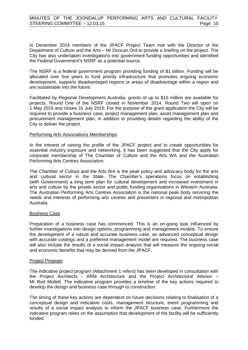In December 2014 members of the JPACF Project Team met with the Director of the Department of Culture and the Arts – Mr Duncan Ord to provide a briefing on the project. The City has also undertaken investigations into government funding opportunities and identified the Federal Government's NSRF as a potential source.

The NSRF is a federal government program providing funding of \$1 billion. Funding will be allocated over five years to fund priority infrastructure that promotes ongoing economic development, supports disadvantaged regions or areas of disadvantage within a region and are sustainable into the future.

Facilitated by Regional Development Australia, grants of up to \$10 million are available for projects. Round One of the NSRF closed in November 2014. Round Two will open on 1 May 2015 and closes 31 July 2015. For the purpose of the grant application the City will be required to provide a business case, project management plan, asset management plan and procurement management plan, in addition to providing details regarding the ability of the City to deliver the project.

#### Performing Arts Associations Memberships

In the interest of raising the profile of the JPACF project and to create opportunities for essential industry exposure and networking, it has been suggested that the City apply for corporate membership of The Chamber of Culture and the Arts WA and the Australian Performing Arts Centres Association.

The Chamber of Culture and the Arts WA is the peak policy and advocacy body for the arts and cultural sector in the State. The Chamber's operations focus on establishing (with Government) a long term plan for cultural development and increased investment in arts and culture by the private sector and public funding organisations in Western Australia. The Australian Performing Arts Centres Association is the national peak body servicing the needs and interests of performing arts centres and presenters in regional and metropolitan Australia.

#### Business Case

Preparation of a business case has commenced. This is an on-going task influenced by further investigations into design options, programming and management models. To ensure the development of a robust and accurate business case, an advanced conceptual design with accurate costings and a preferred management model are required. The business case will also include the results of a social impact analysis that will measure the ongoing social and economic benefits that may be derived from the JPACF.

#### Project Program

The indicative project program (Attachment 1 refers) has been developed in consultation with the Project Architects - ARM Architecture and the Project Architectural Advisor – Mr Rod Mollett. The indicative program provides a timeline of the key actions required to develop the design and business case through to construction.

The timing of these key actions are dependent on future decisions relating to finalisation of a conceptual design and indicative costs, management structure, event programming and results of a social impact analysis to inform the JPACF business case. Furthermore the indicative program relies on the assumption that development of the facility will be sufficiently funded.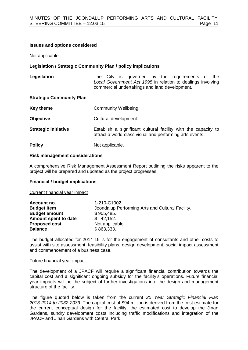#### **Issues and options considered**

Not applicable.

#### **Legislation / Strategic Community Plan / policy implications**

Legislation **The City is governed by the requirements of the** *Local Government Act 1995* in relation to dealings involving commercial undertakings and land development.

#### **Strategic Community Plan**

| Key theme                   | Community Wellbeing.                                                                                                       |
|-----------------------------|----------------------------------------------------------------------------------------------------------------------------|
| <b>Objective</b>            | Cultural development.                                                                                                      |
| <b>Strategic initiative</b> | Establish a significant cultural facility with the capacity to<br>attract a world-class visual and performing arts events. |
| <b>Policy</b>               | Not applicable.                                                                                                            |

#### **Risk management considerations**

A comprehensive Risk Management Assessment Report outlining the risks apparent to the project will be prepared and updated as the project progresses.

#### **Financial / budget implications**

Current financial year impact

| Account no.          | 1-210-C1002.                                     |
|----------------------|--------------------------------------------------|
| <b>Budget Item</b>   | Joondalup Performing Arts and Cultural Facility. |
| <b>Budget amount</b> | \$905,485.                                       |
| Amount spent to date | \$42,152.                                        |
| <b>Proposed cost</b> | Not applicable.                                  |
| <b>Balance</b>       | \$863,333.                                       |

The budget allocated for 2014-15 is for the engagement of consultants and other costs to assist with site assessment, feasibility plans, design development, social impact assessment and commencement of a business case.

#### Future financial year impact

The development of a JPACF will require a significant financial contribution towards the capital cost and a significant ongoing subsidy for the facility's operations. Future financial year impacts will be the subject of further investigations into the design and management structure of the facility.

The figure quoted below is taken from the current *20 Year Strategic Financial Plan 2013-2014 to 2032-2033*. The capital cost of \$94 million is derived from the cost estimate for the current conceptual design for the facility, the estimated cost to develop the Jinan Gardens, sundry development costs including traffic modifications and integration of the JPACF and Jinan Gardens with Central Park.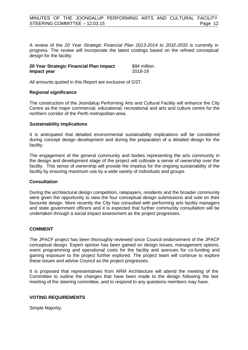A review of the *20 Year Strategic Financial Plan 2013-2014 to 2032-2033* is currently in progress. The review will incorporate the latest costings based on the refined conceptual design for the facility.

| 20 Year Strategic Financial Plan impact | \$94 million. |
|-----------------------------------------|---------------|
| Impact year                             | 2018-19       |

All amounts quoted in this Report are exclusive of GST.

#### **Regional significance**

The construction of the Joondalup Performing Arts and Cultural Facility will enhance the City Centre as the major commercial, educational, recreational and arts and culture centre for the northern corridor of the Perth metropolitan area.

#### **Sustainability implications**

It is anticipated that detailed environmental sustainability implications will be considered during concept design development and during the preparation of a detailed design for the facility.

The engagement of the general community and bodies representing the arts community in the design and development stage of the project will cultivate a sense of ownership over the facility. This sense of ownership will provide the impetus for the ongoing sustainability of the facility by ensuring maximum use by a wide variety of individuals and groups.

#### **Consultation**

During the architectural design competition, ratepayers, residents and the broader community were given the opportunity to view the four conceptual design submissions and vote on their favourite design. More recently the City has consulted with performing arts facility managers and state government officers and it is expected that further community consultation will be undertaken through a social impact assessment as the project progresses.

#### **COMMENT**

The JPACF project has been thoroughly reviewed since Council endorsement of the JPACF conceptual design. Expert opinion has been gained on design issues, management options, event programming and operational costs for the facility and avenues for co-funding and gaining exposure to the project further explored. The project team will continue to explore these issues and advise Council as the project progresses.

It is proposed that representatives from ARM Architecture will attend the meeting of the Committee to outline the changes that have been made to the design following the last meeting of the steering committee, and to respond to any questions members may have.

#### **VOTING REQUIREMENTS**

Simple Majority.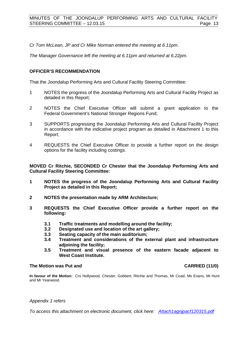*Cr Tom McLean, JP and Cr Mike Norman entered the meeting at 6.11pm.*

*The Manager Governance left the meeting at 6.11pm and returned at 6.22pm.*

#### **OFFICER'S RECOMMENDATION**

That the Joondalup Performing Arts and Cultural Facility Steering Committee:

- 1 NOTES the progress of the Joondalup Performing Arts and Cultural Facility Project as detailed in this Report;
- 2 NOTES the Chief Executive Officer will submit a grant application to the Federal Government's National Stronger Regions Fund;
- 3 SUPPORTS progressing the Joondalup Performing Arts and Cultural Facility Project in accordance with the indicative project program as detailed in Attachment 1 to this Report;
- 4 REQUESTS the Chief Executive Officer to provide a further report on the design options for the facility including costings.

**MOVED Cr Ritchie, SECONDED Cr Chester that the Joondalup Performing Arts and Cultural Facility Steering Committee:**

- **1 NOTES the progress of the Joondalup Performing Arts and Cultural Facility Project as detailed in this Report;**
- **2 NOTES the presentation made by ARM Architecture;**
- **3 REQUESTS the Chief Executive Officer provide a further report on the following:**
	- **3.1 Traffic treatments and modelling around the facility;**
	- **3.2 Designated use and location of the art gallery;**
	- **3.3 Seating capacity of the main auditorium;**
	- **3.4 Treatment and considerations of the external plant and infrastructure adjoining the facility;**
	- **3.5 Treatment and visual presence of the eastern facade adjacent to West Coast Institute.**

#### **The Motion was Put and CARRIED (11/0)**

**In favour of the Motion:** Crs Hollywood, Chester, Gobbert, Ritchie and Thomas, Mr Coad, Ms Evans, Mr Hunt and Mr Yearwood.

#### *Appendix 1 refers*

*To access this attachment on electronic document, click [here: Attach1agnjpacf120315.pdf](http://www.joondalup.wa.gov.au/files/committees/JRPA/2015/Attach1agnjpacf120315.pdf)*